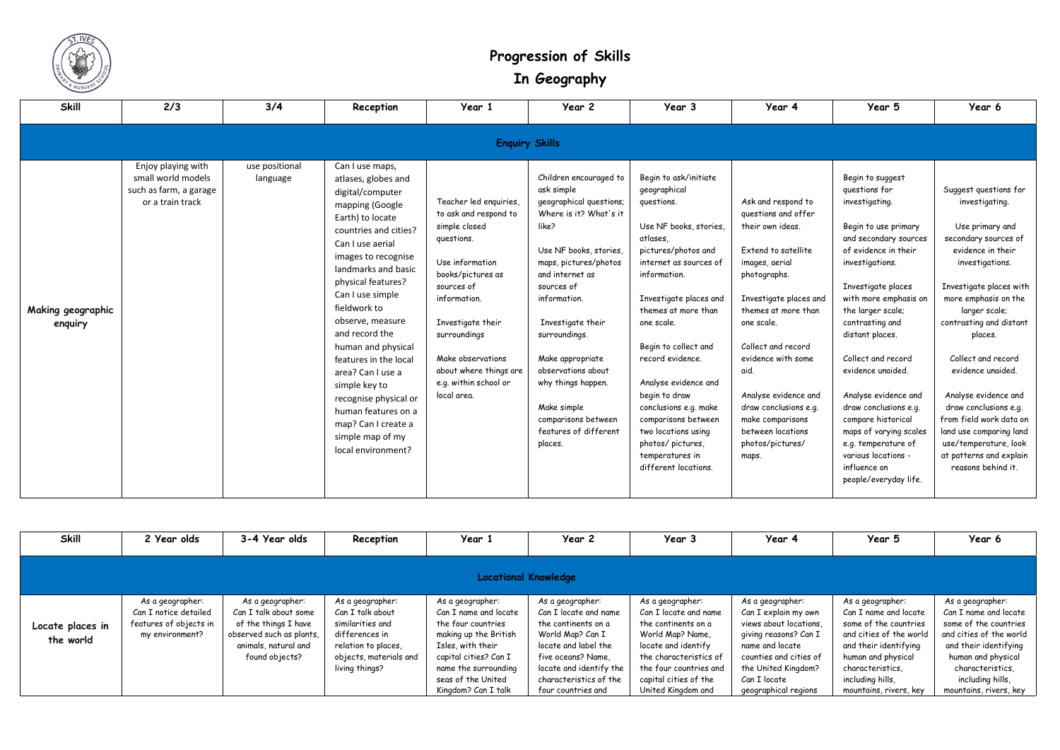

## **Progression of Skills In Geography**

| <b>Skill</b>                 | 2/3                                                                                    | 3/4                        | Reception                                                                                                                                                                                                                                                                                                                                                                                                                                                                                          | Year 1                                                                                                                                                                                                                                                                           | Year 2                                                                                                                                                                                                                                                                                                                                                                                 | Year 3                                                                                                                                                                                                                                                                                                                                                                                                                                               | Year 4                                                                                                                                                                                                                                                                                                                                                           | Year 5                                                                                                                                                                                                                                                                                                                                                                                                                                                                                       | Year 6                                                                                                                                                                                                                                                                                                                                                                                                                                                           |  |  |
|------------------------------|----------------------------------------------------------------------------------------|----------------------------|----------------------------------------------------------------------------------------------------------------------------------------------------------------------------------------------------------------------------------------------------------------------------------------------------------------------------------------------------------------------------------------------------------------------------------------------------------------------------------------------------|----------------------------------------------------------------------------------------------------------------------------------------------------------------------------------------------------------------------------------------------------------------------------------|----------------------------------------------------------------------------------------------------------------------------------------------------------------------------------------------------------------------------------------------------------------------------------------------------------------------------------------------------------------------------------------|------------------------------------------------------------------------------------------------------------------------------------------------------------------------------------------------------------------------------------------------------------------------------------------------------------------------------------------------------------------------------------------------------------------------------------------------------|------------------------------------------------------------------------------------------------------------------------------------------------------------------------------------------------------------------------------------------------------------------------------------------------------------------------------------------------------------------|----------------------------------------------------------------------------------------------------------------------------------------------------------------------------------------------------------------------------------------------------------------------------------------------------------------------------------------------------------------------------------------------------------------------------------------------------------------------------------------------|------------------------------------------------------------------------------------------------------------------------------------------------------------------------------------------------------------------------------------------------------------------------------------------------------------------------------------------------------------------------------------------------------------------------------------------------------------------|--|--|
| <b>Enquiry Skills</b>        |                                                                                        |                            |                                                                                                                                                                                                                                                                                                                                                                                                                                                                                                    |                                                                                                                                                                                                                                                                                  |                                                                                                                                                                                                                                                                                                                                                                                        |                                                                                                                                                                                                                                                                                                                                                                                                                                                      |                                                                                                                                                                                                                                                                                                                                                                  |                                                                                                                                                                                                                                                                                                                                                                                                                                                                                              |                                                                                                                                                                                                                                                                                                                                                                                                                                                                  |  |  |
| Making geographic<br>enquiry | Enjoy playing with<br>small world models<br>such as farm, a garage<br>or a train track | use positional<br>language | Can I use maps,<br>atlases, globes and<br>digital/computer<br>mapping (Google<br>Earth) to locate<br>countries and cities?<br>Can I use aerial<br>images to recognise<br>landmarks and basic<br>physical features?<br>Can I use simple<br>fieldwork to<br>observe, measure<br>and record the<br>human and physical<br>features in the local<br>area? Can I use a<br>simple key to<br>recognise physical or<br>human features on a<br>map? Can I create a<br>simple map of my<br>local environment? | Teacher led enquiries,<br>to ask and respond to<br>simple closed<br>questions.<br>Use information<br>books/pictures as<br>sources of<br>information.<br>Investigate their<br>surroundings<br>Make observations<br>about where things are<br>e.g. within school or<br>local area. | Children encouraged to<br>ask simple<br>geographical questions;<br>Where is it? What's it<br>like?<br>Use NF books, stories,<br>maps, pictures/photos<br>and internet as<br>sources of<br>information.<br>Investigate their<br>surroundings.<br>Make appropriate<br>observations about<br>why things happen.<br>Make simple<br>comparisons between<br>features of different<br>places. | Begin to ask/initiate<br>geographical<br>questions.<br>Use NF books, stories,<br>atlases,<br>pictures/photos and<br>internet as sources of<br>information.<br>Investigate places and<br>themes at more than<br>one scale.<br>Begin to collect and<br>record evidence.<br>Analyse evidence and<br>begin to draw<br>conclusions e.g. make<br>comparisons between<br>two locations using<br>photos/pictures,<br>temperatures in<br>different locations. | Ask and respond to<br>questions and offer<br>their own ideas.<br>Extend to satellite<br>images, aerial<br>photographs.<br>Investigate places and<br>themes at more than<br>one scale.<br>Collect and record<br>evidence with some<br>aid.<br>Analyse evidence and<br>draw conclusions e.g.<br>make comparisons<br>between locations<br>photos/pictures/<br>maps. | Begin to suggest<br>questions for<br>investigating.<br>Begin to use primary<br>and secondary sources<br>of evidence in their<br>investigations.<br>Investigate places<br>with more emphasis on<br>the larger scale;<br>contrasting and<br>distant places.<br>Collect and record<br>evidence unaided.<br>Analyse evidence and<br>draw conclusions e.g.<br>compare historical<br>maps of varying scales<br>e.g. temperature of<br>various locations -<br>influence on<br>people/everyday life. | Suggest questions for<br>investigating.<br>Use primary and<br>secondary sources of<br>evidence in their<br>investigations.<br>Investigate places with<br>more emphasis on the<br>larger scale;<br>contrasting and distant<br>places.<br>Collect and record<br>evidence unaided.<br>Analyse evidence and<br>draw conclusions e.g.<br>from field work data on<br>land use comparing land<br>use/temperature, look<br>at patterns and explain<br>reasons behind it. |  |  |

| <b>Skill</b>                  | 2 Year olds                                                                            | 3-4 Year olds                                                                                                                           | Reception                                                                                                                                     | Year 1                                                                                                                                                                                                      | Year 2                                                                                                                                                                                                        | Year 3                                                                                                                                                                                                         | Year 4                                                                                                                                                                                                  | Year 5                                                                                                                                                                                                         | Year 6                                                                                                                                                                                                              |  |
|-------------------------------|----------------------------------------------------------------------------------------|-----------------------------------------------------------------------------------------------------------------------------------------|-----------------------------------------------------------------------------------------------------------------------------------------------|-------------------------------------------------------------------------------------------------------------------------------------------------------------------------------------------------------------|---------------------------------------------------------------------------------------------------------------------------------------------------------------------------------------------------------------|----------------------------------------------------------------------------------------------------------------------------------------------------------------------------------------------------------------|---------------------------------------------------------------------------------------------------------------------------------------------------------------------------------------------------------|----------------------------------------------------------------------------------------------------------------------------------------------------------------------------------------------------------------|---------------------------------------------------------------------------------------------------------------------------------------------------------------------------------------------------------------------|--|
| <b>Locational Knowledge</b>   |                                                                                        |                                                                                                                                         |                                                                                                                                               |                                                                                                                                                                                                             |                                                                                                                                                                                                               |                                                                                                                                                                                                                |                                                                                                                                                                                                         |                                                                                                                                                                                                                |                                                                                                                                                                                                                     |  |
| Locate places in<br>the world | As a geographer:<br>Can I notice detailed<br>features of objects in<br>my environment? | As a geographer:<br>Can I talk about some<br>of the things I have<br>observed such as plants,<br>animals, natural and<br>found objects? | As a geographer:<br>Can I talk about<br>similarities and<br>differences in<br>relation to places,<br>objects, materials and<br>living things? | As a geographer:<br>Can I name and locate<br>the four countries<br>making up the British<br>Isles, with their<br>capital cities? Can I<br>name the surrounding<br>seas of the United<br>Kingdom? Can I talk | As a geographer:<br>Can I locate and name<br>the continents on a<br>World Map? Can I<br>locate and label the<br>five oceans? Name,<br>locate and identify the<br>characteristics of the<br>four countries and | As a geographer:<br>Can I locate and name<br>the continents on a<br>World Map? Name,<br>locate and identify<br>the characteristics of<br>the four countries and<br>capital cities of the<br>United Kingdom and | As a geographer:<br>Can I explain my own<br>views about locations.<br>giving reasons? Can I<br>name and locate<br>counties and cities of<br>the United Kingdom?<br>Can I locate<br>geographical regions | As a geographer:<br>Can I name and locate<br>some of the countries<br>and cities of the world<br>and their identifying<br>human and physical<br>characteristics,<br>including hills,<br>mountains, rivers, key | As a geographer:<br>Can I name and locate<br>some of the countries<br>and cities of the world<br>and their identifying<br>human and physical<br>characteristics,<br>including hills,<br>mountains, rivers, key $\ $ |  |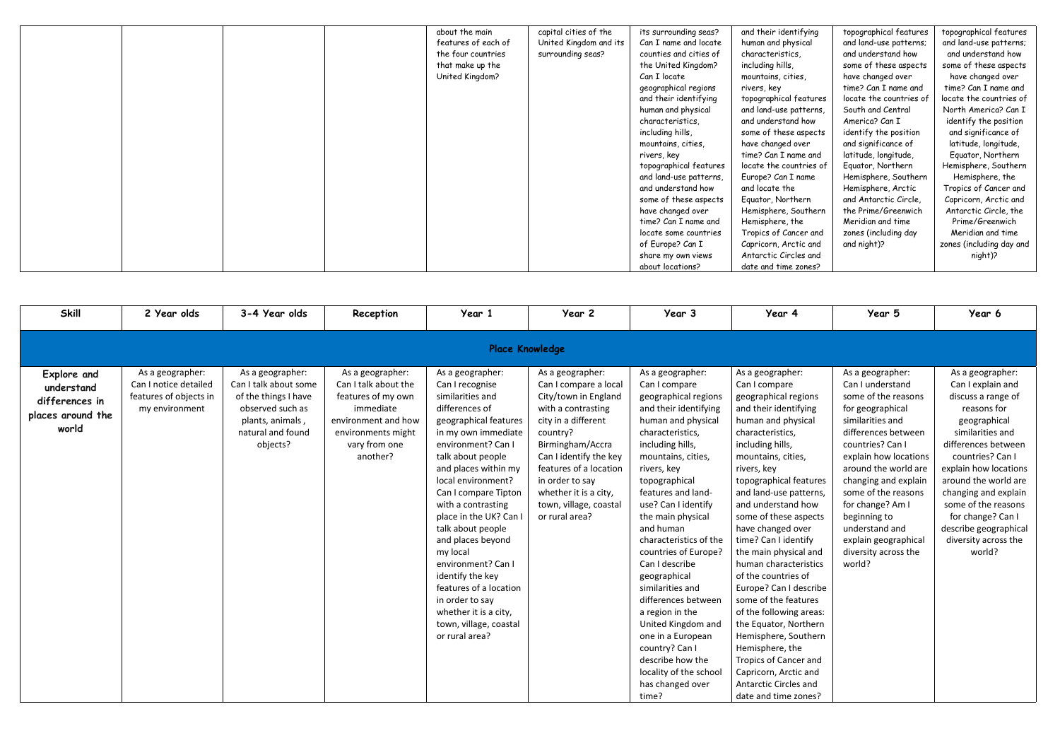|  |  | about the main      | capital cities of the  | its surrounding seas?  | and their identifying  |
|--|--|---------------------|------------------------|------------------------|------------------------|
|  |  | features of each of | United Kingdom and its | Can I name and locate  | human and physical     |
|  |  | the four countries  | surrounding seas?      | counties and cities of | characteristics,       |
|  |  | that make up the    |                        | the United Kingdom?    | including hills,       |
|  |  | United Kingdom?     |                        | Can I locate           | mountains, cities,     |
|  |  |                     |                        | geographical regions   | rivers, key            |
|  |  |                     |                        | and their identifying  | topographical feature  |
|  |  |                     |                        | human and physical     | and land-use patterns  |
|  |  |                     |                        | characteristics,       | and understand how     |
|  |  |                     |                        | including hills,       | some of these aspects  |
|  |  |                     |                        | mountains, cities,     | have changed over      |
|  |  |                     |                        | rivers, key            | time? Can I name and   |
|  |  |                     |                        | topographical features | locate the countries o |
|  |  |                     |                        | and land-use patterns, | Europe? Can I name     |
|  |  |                     |                        | and understand how     | and locate the         |
|  |  |                     |                        | some of these aspects  | Equator, Northern      |
|  |  |                     |                        | have changed over      | Hemisphere, Souther    |
|  |  |                     |                        | time? Can I name and   | Hemisphere, the        |
|  |  |                     |                        | locate some countries  | Tropics of Cancer and  |
|  |  |                     |                        | of Europe? Can I       | Capricorn, Arctic and  |
|  |  |                     |                        | share my own views     | Antarctic Circles and  |
|  |  |                     |                        | about locations?       | date and time zones?   |
|  |  |                     |                        |                        |                        |

ifying ical es, eatures tterns, d how aspects ver ne and itries of name lern outhern en i cer and tic and es and and night)?

topographical features and land-use patterns; and understand how some of these aspects have changed over time? Can I name and locate the countries of South and Central America? Can I identify the position and significance of latitude, longitude, Equator, Northern Hemisphere, Southern Hemisphere, Arctic and Antarctic Circle, the Prime/Greenwich Meridian and time zones (including day

topographical features and land-use patterns; and understand how some of these aspects have changed over time? Can I name and locate the countries of North America? Can I identify the position and significance of latitude, longitude, Equator, Northern Hemisphere, Southern Hemisphere, the Tropics of Cancer and Capricorn, Arctic and Antarctic Circle, the Prime/Greenwich Meridian and time zones (including day and night)?

| <b>Skill</b>                                                                     | 2 Year olds                                                                           | 3-4 Year olds                                                                                                                              | Reception                                                                                                                                             | Year 1                                                                                                                                                                                                                                                                                                                                                                                                                                                                                                       | Year 2                                                                                                                                                                                                                                                                                     | Year 3                                                                                                                                                                                                                                                                                                                                                                                                                                                                                                                                                                          | Year 4                                                                                                                                                                                                                                                                                                                                                                                                                                                                                                                                                                                                                                                                    | Year 5                                                                                                                                                                                                                                                                                                                                                         | Year 6                                                                                                                                                                                                                                                                                                                                    |  |  |
|----------------------------------------------------------------------------------|---------------------------------------------------------------------------------------|--------------------------------------------------------------------------------------------------------------------------------------------|-------------------------------------------------------------------------------------------------------------------------------------------------------|--------------------------------------------------------------------------------------------------------------------------------------------------------------------------------------------------------------------------------------------------------------------------------------------------------------------------------------------------------------------------------------------------------------------------------------------------------------------------------------------------------------|--------------------------------------------------------------------------------------------------------------------------------------------------------------------------------------------------------------------------------------------------------------------------------------------|---------------------------------------------------------------------------------------------------------------------------------------------------------------------------------------------------------------------------------------------------------------------------------------------------------------------------------------------------------------------------------------------------------------------------------------------------------------------------------------------------------------------------------------------------------------------------------|---------------------------------------------------------------------------------------------------------------------------------------------------------------------------------------------------------------------------------------------------------------------------------------------------------------------------------------------------------------------------------------------------------------------------------------------------------------------------------------------------------------------------------------------------------------------------------------------------------------------------------------------------------------------------|----------------------------------------------------------------------------------------------------------------------------------------------------------------------------------------------------------------------------------------------------------------------------------------------------------------------------------------------------------------|-------------------------------------------------------------------------------------------------------------------------------------------------------------------------------------------------------------------------------------------------------------------------------------------------------------------------------------------|--|--|
| <b>Place Knowledge</b>                                                           |                                                                                       |                                                                                                                                            |                                                                                                                                                       |                                                                                                                                                                                                                                                                                                                                                                                                                                                                                                              |                                                                                                                                                                                                                                                                                            |                                                                                                                                                                                                                                                                                                                                                                                                                                                                                                                                                                                 |                                                                                                                                                                                                                                                                                                                                                                                                                                                                                                                                                                                                                                                                           |                                                                                                                                                                                                                                                                                                                                                                |                                                                                                                                                                                                                                                                                                                                           |  |  |
| <b>Explore and</b><br>understand<br>differences in<br>places around the<br>world | As a geographer:<br>Can I notice detailed<br>features of objects in<br>my environment | As a geographer:<br>Can I talk about some<br>of the things I have<br>observed such as<br>plants, animals,<br>natural and found<br>objects? | As a geographer:<br>Can I talk about the<br>features of my own<br>immediate<br>environment and how<br>environments might<br>vary from one<br>another? | As a geographer:<br>Can I recognise<br>similarities and<br>differences of<br>geographical features<br>in my own immediate<br>environment? Can I<br>talk about people<br>and places within my<br>local environment?<br>Can I compare Tipton<br>with a contrasting<br>place in the UK? Can I<br>talk about people<br>and places beyond<br>my local<br>environment? Can I<br>identify the key<br>features of a location<br>in order to say<br>whether it is a city,<br>town, village, coastal<br>or rural area? | As a geographer:<br>Can I compare a local<br>City/town in England<br>with a contrasting<br>city in a different<br>country?<br>Birmingham/Accra<br>Can I identify the key<br>features of a location<br>in order to say<br>whether it is a city,<br>town, village, coastal<br>or rural area? | As a geographer:<br>Can I compare<br>geographical regions<br>and their identifying<br>human and physical<br>characteristics,<br>including hills,<br>mountains, cities,<br>rivers, key<br>topographical<br>features and land-<br>use? Can I identify<br>the main physical<br>and human<br>characteristics of the<br>countries of Europe?<br>Can I describe<br>geographical<br>similarities and<br>differences between<br>a region in the<br>United Kingdom and<br>one in a European<br>country? Can I<br>describe how the<br>locality of the school<br>has changed over<br>time? | As a geographer:<br>Can I compare<br>geographical regions<br>and their identifying<br>human and physical<br>characteristics,<br>including hills,<br>mountains, cities,<br>rivers, key<br>topographical features<br>and land-use patterns,<br>and understand how<br>some of these aspects<br>have changed over<br>time? Can I identify<br>the main physical and<br>human characteristics<br>of the countries of<br>Europe? Can I describe<br>some of the features<br>of the following areas:<br>the Equator, Northern<br>Hemisphere, Southern<br>Hemisphere, the<br>Tropics of Cancer and<br>Capricorn, Arctic and<br><b>Antarctic Circles and</b><br>date and time zones? | As a geographer:<br>Can I understand<br>some of the reasons<br>for geographical<br>similarities and<br>differences between<br>countries? Can I<br>explain how locations<br>around the world are<br>changing and explain<br>some of the reasons<br>for change? Am I<br>beginning to<br>understand and<br>explain geographical<br>diversity across the<br>world? | As a geographer:<br>Can I explain and<br>discuss a range of<br>reasons for<br>geographical<br>similarities and<br>differences between<br>countries? Can I<br>explain how locations<br>around the world are<br>changing and explain<br>some of the reasons<br>for change? Can I<br>describe geographical<br>diversity across the<br>world? |  |  |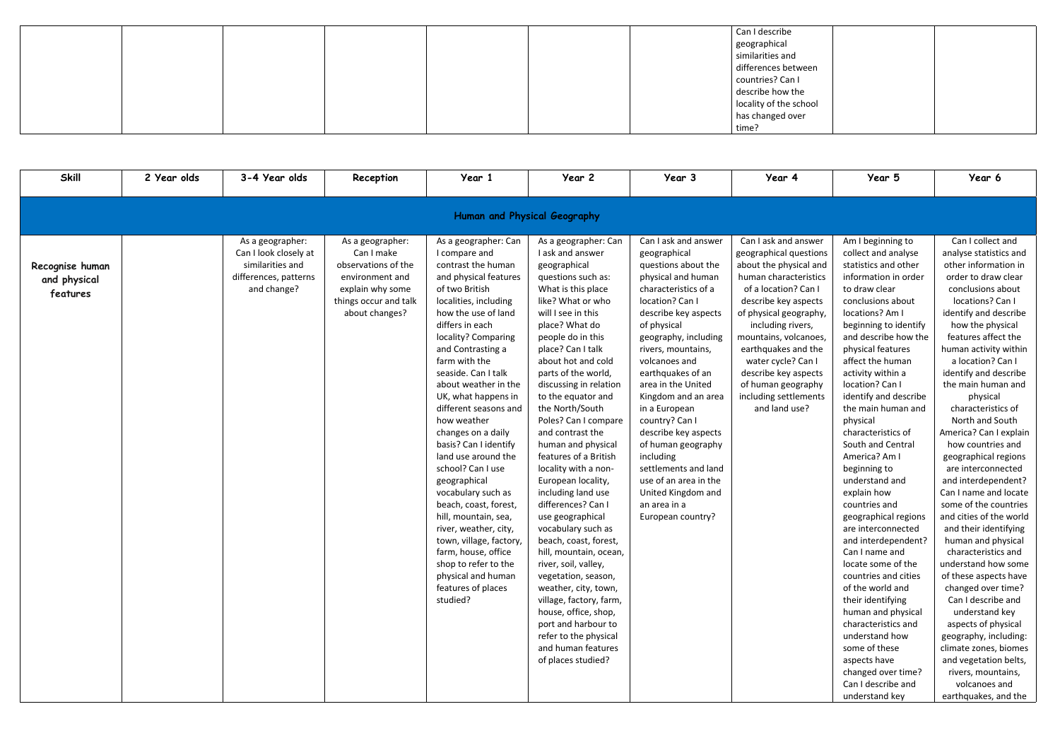|  |  | Can I describe         |  |
|--|--|------------------------|--|
|  |  | geographical           |  |
|  |  | similarities and       |  |
|  |  | differences between    |  |
|  |  | countries? Can I       |  |
|  |  | describe how the       |  |
|  |  | locality of the school |  |
|  |  | has changed over       |  |
|  |  | time?                  |  |

| <b>Skill</b>                                | 2 Year olds                  | 3-4 Year olds                                                                                         | Reception                                                                                                                               | Year 1                                                                                                                                                                                                                                                                                                                                                                                                                                                                                                                                                                                                                                                                                            | Year 2                                                                                                                                                                                                                                                                                                                                                                                                                                                                                                                                                                                                                                                                                                                                                                                                                              | Year 3                                                                                                                                                                                                                                                                                                                                                                                                                                                                                                         | Year 4                                                                                                                                                                                                                                                                                                                                                         | Year 5                                                                                                                                                                                                                                                                                                                                                                                                                                                                                                                                                                                                                                                                                                                                                                                                                   | Year 6                                                                                                                                                                                                                                                                                                                                                                                                                                                                                                                                                                                                                                                                                                                                                                                                                                                                                                          |  |  |  |
|---------------------------------------------|------------------------------|-------------------------------------------------------------------------------------------------------|-----------------------------------------------------------------------------------------------------------------------------------------|---------------------------------------------------------------------------------------------------------------------------------------------------------------------------------------------------------------------------------------------------------------------------------------------------------------------------------------------------------------------------------------------------------------------------------------------------------------------------------------------------------------------------------------------------------------------------------------------------------------------------------------------------------------------------------------------------|-------------------------------------------------------------------------------------------------------------------------------------------------------------------------------------------------------------------------------------------------------------------------------------------------------------------------------------------------------------------------------------------------------------------------------------------------------------------------------------------------------------------------------------------------------------------------------------------------------------------------------------------------------------------------------------------------------------------------------------------------------------------------------------------------------------------------------------|----------------------------------------------------------------------------------------------------------------------------------------------------------------------------------------------------------------------------------------------------------------------------------------------------------------------------------------------------------------------------------------------------------------------------------------------------------------------------------------------------------------|----------------------------------------------------------------------------------------------------------------------------------------------------------------------------------------------------------------------------------------------------------------------------------------------------------------------------------------------------------------|--------------------------------------------------------------------------------------------------------------------------------------------------------------------------------------------------------------------------------------------------------------------------------------------------------------------------------------------------------------------------------------------------------------------------------------------------------------------------------------------------------------------------------------------------------------------------------------------------------------------------------------------------------------------------------------------------------------------------------------------------------------------------------------------------------------------------|-----------------------------------------------------------------------------------------------------------------------------------------------------------------------------------------------------------------------------------------------------------------------------------------------------------------------------------------------------------------------------------------------------------------------------------------------------------------------------------------------------------------------------------------------------------------------------------------------------------------------------------------------------------------------------------------------------------------------------------------------------------------------------------------------------------------------------------------------------------------------------------------------------------------|--|--|--|
|                                             | Human and Physical Geography |                                                                                                       |                                                                                                                                         |                                                                                                                                                                                                                                                                                                                                                                                                                                                                                                                                                                                                                                                                                                   |                                                                                                                                                                                                                                                                                                                                                                                                                                                                                                                                                                                                                                                                                                                                                                                                                                     |                                                                                                                                                                                                                                                                                                                                                                                                                                                                                                                |                                                                                                                                                                                                                                                                                                                                                                |                                                                                                                                                                                                                                                                                                                                                                                                                                                                                                                                                                                                                                                                                                                                                                                                                          |                                                                                                                                                                                                                                                                                                                                                                                                                                                                                                                                                                                                                                                                                                                                                                                                                                                                                                                 |  |  |  |
| Recognise human<br>and physical<br>features |                              | As a geographer:<br>Can I look closely at<br>similarities and<br>differences, patterns<br>and change? | As a geographer:<br>Can I make<br>observations of the<br>environment and<br>explain why some<br>things occur and talk<br>about changes? | As a geographer: Can<br>I compare and<br>contrast the human<br>and physical features<br>of two British<br>localities, including<br>how the use of land<br>differs in each<br>locality? Comparing<br>and Contrasting a<br>farm with the<br>seaside. Can I talk<br>about weather in the<br>UK, what happens in<br>different seasons and<br>how weather<br>changes on a daily<br>basis? Can I identify<br>land use around the<br>school? Can I use<br>geographical<br>vocabulary such as<br>beach, coast, forest,<br>hill, mountain, sea,<br>river, weather, city,<br>town, village, factory,<br>farm, house, office<br>shop to refer to the<br>physical and human<br>features of places<br>studied? | As a geographer: Can<br>I ask and answer<br>geographical<br>questions such as:<br>What is this place<br>like? What or who<br>will I see in this<br>place? What do<br>people do in this<br>place? Can I talk<br>about hot and cold<br>parts of the world,<br>discussing in relation<br>to the equator and<br>the North/South<br>Poles? Can I compare<br>and contrast the<br>human and physical<br>features of a British<br>locality with a non-<br>European locality,<br>including land use<br>differences? Can I<br>use geographical<br>vocabulary such as<br>beach, coast, forest,<br>hill, mountain, ocean,<br>river, soil, valley,<br>vegetation, season,<br>weather, city, town,<br>village, factory, farm,<br>house, office, shop,<br>port and harbour to<br>refer to the physical<br>and human features<br>of places studied? | Can I ask and answer<br>geographical<br>questions about the<br>physical and human<br>characteristics of a<br>location? Can I<br>describe key aspects<br>of physical<br>geography, including<br>rivers, mountains,<br>volcanoes and<br>earthquakes of an<br>area in the United<br>Kingdom and an area<br>in a European<br>country? Can I<br>describe key aspects<br>of human geography<br>including<br>settlements and land<br>use of an area in the<br>United Kingdom and<br>an area in a<br>European country? | Can I ask and answer<br>geographical questions<br>about the physical and<br>human characteristics<br>of a location? Can I<br>describe key aspects<br>of physical geography,<br>including rivers,<br>mountains, volcanoes,<br>earthquakes and the<br>water cycle? Can I<br>describe key aspects<br>of human geography<br>including settlements<br>and land use? | Am I beginning to<br>collect and analyse<br>statistics and other<br>information in order<br>to draw clear<br>conclusions about<br>locations? Am I<br>beginning to identify<br>and describe how the<br>physical features<br>affect the human<br>activity within a<br>location? Can I<br>identify and describe<br>the main human and<br>physical<br>characteristics of<br>South and Central<br>America? Am I<br>beginning to<br>understand and<br>explain how<br>countries and<br>geographical regions<br>are interconnected<br>and interdependent?<br>Can I name and<br>locate some of the<br>countries and cities<br>of the world and<br>their identifying<br>human and physical<br>characteristics and<br>understand how<br>some of these<br>aspects have<br>changed over time?<br>Can I describe and<br>understand key | Can I collect and<br>analyse statistics and<br>other information in<br>order to draw clear<br>conclusions about<br>locations? Can I<br>identify and describe<br>how the physical<br>features affect the<br>human activity within<br>a location? Can I<br>identify and describe<br>the main human and<br>physical<br>characteristics of<br>North and South<br>America? Can I explain<br>how countries and<br>geographical regions<br>are interconnected<br>and interdependent?<br>Can I name and locate<br>some of the countries<br>and cities of the world<br>and their identifying<br>human and physical<br>characteristics and<br>understand how some<br>of these aspects have<br>changed over time?<br>Can I describe and<br>understand key<br>aspects of physical<br>geography, including:<br>climate zones, biomes<br>and vegetation belts,<br>rivers, mountains,<br>volcanoes and<br>earthquakes, and the |  |  |  |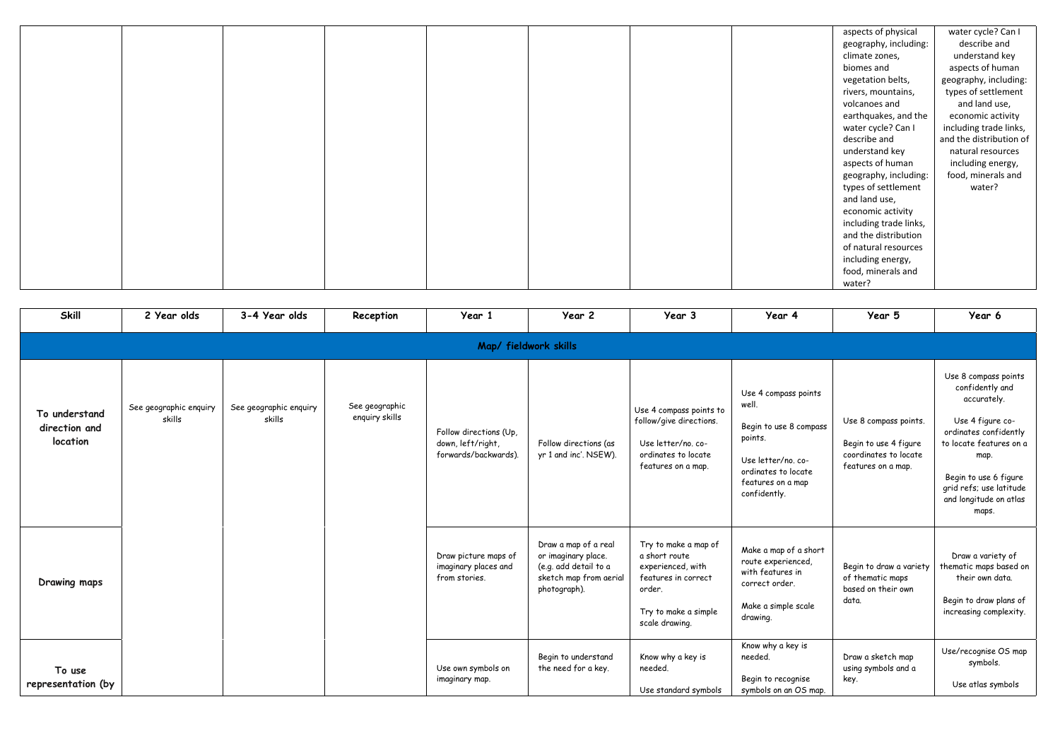| aspects of physical    | water cycle? Can I      |
|------------------------|-------------------------|
| geography, including:  | describe and            |
| climate zones,         | understand key          |
| biomes and             | aspects of human        |
| vegetation belts,      | geography, including:   |
| rivers, mountains,     | types of settlement     |
| volcanoes and          | and land use,           |
| earthquakes, and the   | economic activity       |
| water cycle? Can I     | including trade links,  |
| describe and           | and the distribution of |
| understand key         | natural resources       |
| aspects of human       | including energy,       |
| geography, including:  | food, minerals and      |
| types of settlement    | water?                  |
| and land use,          |                         |
| economic activity      |                         |
| including trade links, |                         |
| and the distribution   |                         |
| of natural resources   |                         |
| including energy,      |                         |
| food, minerals and     |                         |
| water?                 |                         |
|                        |                         |

| <b>Skill</b>                               | 2 Year olds                      | 3-4 Year olds                    | Reception                        | Year 1                                                              | Year 2                                                                                                         | Year 3                                                                                                                                | Year 4                                                                                                                                               | Year 5                                                                                        | Year 6                                                                                                                                                                                                                        |  |  |  |
|--------------------------------------------|----------------------------------|----------------------------------|----------------------------------|---------------------------------------------------------------------|----------------------------------------------------------------------------------------------------------------|---------------------------------------------------------------------------------------------------------------------------------------|------------------------------------------------------------------------------------------------------------------------------------------------------|-----------------------------------------------------------------------------------------------|-------------------------------------------------------------------------------------------------------------------------------------------------------------------------------------------------------------------------------|--|--|--|
|                                            | Map/ fieldwork skills            |                                  |                                  |                                                                     |                                                                                                                |                                                                                                                                       |                                                                                                                                                      |                                                                                               |                                                                                                                                                                                                                               |  |  |  |
| To understand<br>direction and<br>location | See geographic enquiry<br>skills | See geographic enquiry<br>skills | See geographic<br>enquiry skills | Follow directions (Up,<br>down, left/right,<br>forwards/backwards). | Follow directions (as<br>yr 1 and inc'. NSEW).                                                                 | Use 4 compass points to<br>follow/give directions.<br>Use letter/no. co-<br>ordinates to locate<br>features on a map.                 | Use 4 compass points<br>well.<br>Begin to use 8 compass<br>points.<br>Use letter/no. co-<br>ordinates to locate<br>features on a map<br>confidently. | Use 8 compass points.<br>Begin to use 4 figure<br>coordinates to locate<br>features on a map. | Use 8 compass points<br>confidently and<br>accurately.<br>Use 4 figure co-<br>ordinates confidently<br>to locate features on a<br>map.<br>Begin to use 6 figure<br>grid refs; use latitude<br>and longitude on atlas<br>maps. |  |  |  |
| Drawing maps                               |                                  |                                  |                                  | Draw picture maps of<br>imaginary places and<br>from stories.       | Draw a map of a real<br>or imaginary place.<br>(e.g. add detail to a<br>sketch map from aerial<br>photograph). | Try to make a map of<br>a short route<br>experienced, with<br>features in correct<br>order.<br>Try to make a simple<br>scale drawing. | Make a map of a short<br>route experienced,<br>with features in<br>correct order.<br>Make a simple scale<br>drawing.                                 | Begin to draw a variety<br>of thematic maps<br>based on their own<br>data.                    | Draw a variety of<br>thematic maps based on<br>their own data.<br>Begin to draw plans of<br>increasing complexity.                                                                                                            |  |  |  |
| To use<br>representation (by               |                                  |                                  |                                  | Use own symbols on<br>imaginary map.                                | Begin to understand<br>the need for a key.                                                                     | Know why a key is<br>needed.<br>Use standard symbols                                                                                  | Know why a key is<br>needed.<br>Begin to recognise<br>symbols on an OS map.                                                                          | Draw a sketch map<br>using symbols and a<br>key.                                              | Use/recognise OS map<br>symbols.<br>Use atlas symbols                                                                                                                                                                         |  |  |  |